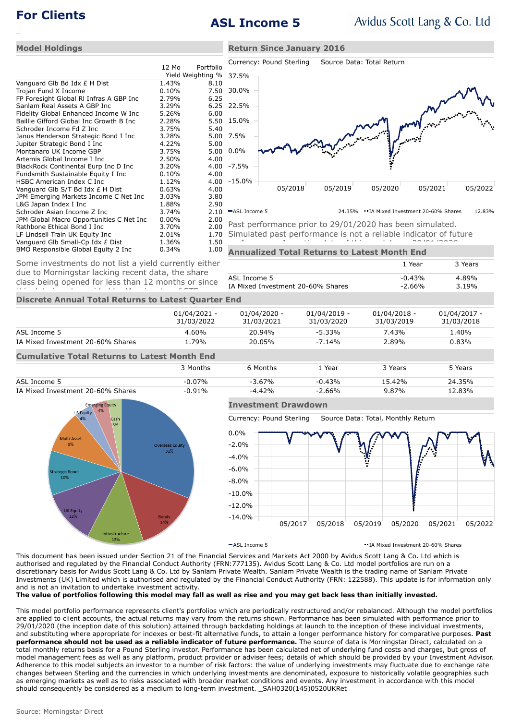# **For Clients ASL Income 5**

**Return Since January 2016**

1 Year 3 Years

-0.43% 4.89%

### **Model Holdings**

|                                          | 12 Mo    | Portfolio         |  |  |
|------------------------------------------|----------|-------------------|--|--|
|                                          |          | Yield Weighting % |  |  |
| Vanguard Glb Bd Idx £ H Dist             | 1.43%    | 8.10              |  |  |
| Trojan Fund X Income                     | 0.10%    | 7.50              |  |  |
| FP Foresight Global RI Infras A GBP Inc  | 2.79%    | 6.25              |  |  |
| Sanlam Real Assets A GBP Inc             | 3.29%    | 6.25              |  |  |
| Fidelity Global Enhanced Income W Inc    | 5.26%    | 6.00              |  |  |
| Baillie Gifford Global Inc Growth B Inc  | 2.28%    | 5.50              |  |  |
| Schroder Income Fd Z Inc                 | 3.75%    | 5.40              |  |  |
| Janus Henderson Strategic Bond I Inc     | 3.28%    | 5.00              |  |  |
| Jupiter Strategic Bond I Inc             | 4.22%    | 5.00              |  |  |
| Montanaro UK Income GBP                  | 3.75%    | 5.00              |  |  |
| Artemis Global Income I Inc              | 2.50%    | 4.00              |  |  |
| BlackRock Continental Eurp Inc D Inc     | 3.20%    | 4.00              |  |  |
| Fundsmith Sustainable Equity I Inc       | 0.10%    | 4.00              |  |  |
| HSBC American Index C Inc                | 1.12%    | 4.00              |  |  |
| Vanguard Glb S/T Bd Idx £ H Dist         | 0.63%    | 4.00              |  |  |
| JPM Emerging Markets Income C Net Inc    | 3.03%    | 3.80              |  |  |
| L&G Japan Index I Inc                    | 1.88%    | 2.90              |  |  |
| Schroder Asian Income Z Inc              | 3.74%    | 2.10              |  |  |
| JPM Global Macro Opportunities C Net Inc | $0.00\%$ | 2.00              |  |  |
| Rathbone Ethical Bond I Inc              | 3.70%    | 2.00              |  |  |
| LF Lindsell Train UK Equity Inc          | 2.01%    | 1.70              |  |  |
| Vanguard Glb Small-Cp Idx £ Dist         | 1.36%    | 1.50              |  |  |
| BMO Responsible Global Equity 2 Inc      | 0.34%    | 1.00              |  |  |



Past performance prior to 29/01/2020 has been simulated. Simulated past performance is not a reliable indicator of future performance. Inception date of this model was 29/01/2020.

## **Annualized Total Returns to Latest Month End**

ASL Income 5 Some investments do not list a yield currently either due to Morningstar lacking recent data, the share class being opened for less than 12 months or since

**Discrete Annual Total Returns to Latest Quarter End** IA Mixed Investment 20-60% Shares -2.66% 3.19% this data is not provided by Morningstar of ETFs.

|                                                     | $01/04/2021 -$<br>31/03/2022 | 01/04/2020 -<br>31/03/2021 | $01/04/2019 -$<br>31/03/2020 | $01/04/2018 -$<br>31/03/2019 | 01/04/2017 -<br>31/03/2018 |  |  |
|-----------------------------------------------------|------------------------------|----------------------------|------------------------------|------------------------------|----------------------------|--|--|
| ASL Income 5                                        | $4.60\%$                     | 20.94%                     | $-5.33\%$                    | 7.43%                        | 1.40%                      |  |  |
| IA Mixed Investment 20-60% Shares                   | 1.79%                        | 20.05%                     | $-7.14%$                     | 2.89%                        | 0.83%                      |  |  |
| <b>Cumulative Total Returns to Latest Month End</b> |                              |                            |                              |                              |                            |  |  |

|                                   | 3 Months  | 6 Months  | . Year    | 3 Years  | 5 Years |
|-----------------------------------|-----------|-----------|-----------|----------|---------|
| ASL Income 5                      | $-0.07\%$ | $-3.67\%$ | $-0.43%$  | 15.42%   | 24.35%  |
| IA Mixed Investment 20-60% Shares | $-0.91\%$ | $-4.42%$  | $-2.66\%$ | $9.87\%$ | 12.83%  |



## **Investment Drawdown**

Currency: Pound Sterling Source Data: Total, Monthly Return



ASL Income 5 IA Mixed Investment 20-60% Shares

This document has been issued under Section 21 of the Financial Services and Markets Act 2000 by Avidus Scott Lang & Co. Ltd which is authorised and regulated by the Financial Conduct Authority (FRN:777135). Avidus Scott Lang & Co. Ltd model portfolios are run on a discretionary basis for Avidus Scott Lang & Co. Ltd by Sanlam Private Wealth. Sanlam Private Wealth is the trading name of Sanlam Private Investments (UK) Limited which is authorised and regulated by the Financial Conduct Authority (FRN: 122588). This update is for information only and is not an invitation to undertake investment activity.

**The value of portfolios following this model may fall as well as rise and you may get back less than initially invested.**

This model portfolio performance represents client's portfolios which are periodically restructured and/or rebalanced. Although the model portfolios are applied to client accounts, the actual returns may vary from the returns shown. Performance has been simulated with performance prior to 29/01/2020 (the inception date of this solution) attained through backdating holdings at launch to the inception of these individual investments, and substituting where appropriate for indexes or best-fit alternative funds, to attain a longer performance history for comparative purposes. **Past performance should not be used as a reliable indicator of future performance.** The source of data is Morningstar Direct, calculated on a total monthly returns basis for a Pound Sterling investor. Performance has been calculated net of underlying fund costs and charges, but gross of model management fees as well as any platform, product provider or adviser fees; details of which should be provided by your Investment Advisor. Adherence to this model subjects an investor to a number of risk factors: the value of underlying investments may fluctuate due to exchange rate changes between Sterling and the currencies in which underlying investments are denominated, exposure to historically volatile geographies such as emerging markets as well as to risks associated with broader market conditions and events. Any investment in accordance with this model should consequently be considered as a medium to long-term investment. \_SAH0320(145)0520UKRet